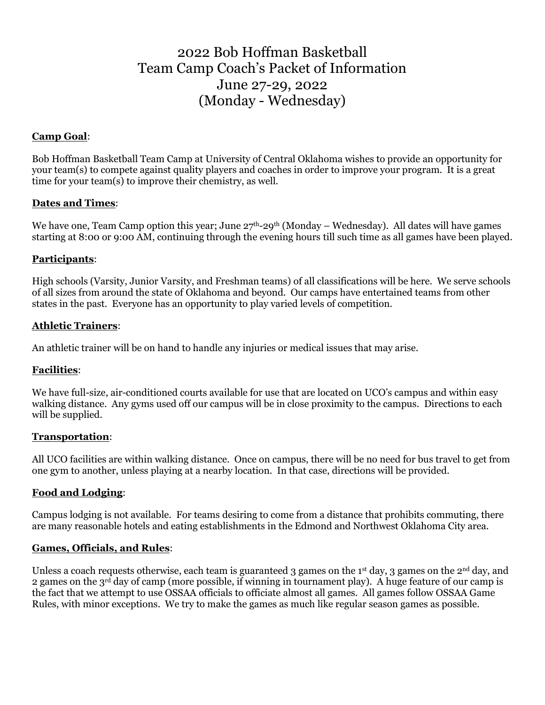## 2022 Bob Hoffman Basketball Team Camp Coach's Packet of Information June 27-29, 2022 (Monday - Wednesday)

#### **Camp Goal**:

Bob Hoffman Basketball Team Camp at University of Central Oklahoma wishes to provide an opportunity for your team(s) to compete against quality players and coaches in order to improve your program. It is a great time for your team(s) to improve their chemistry, as well.

#### **Dates and Times**:

We have one, Team Camp option this year; June 27<sup>th</sup>-29<sup>th</sup> (Monday – Wednesday). All dates will have games starting at 8:00 or 9:00 AM, continuing through the evening hours till such time as all games have been played.

#### **Participants**:

High schools (Varsity, Junior Varsity, and Freshman teams) of all classifications will be here. We serve schools of all sizes from around the state of Oklahoma and beyond. Our camps have entertained teams from other states in the past. Everyone has an opportunity to play varied levels of competition.

#### **Athletic Trainers**:

An athletic trainer will be on hand to handle any injuries or medical issues that may arise.

#### **Facilities**:

We have full-size, air-conditioned courts available for use that are located on UCO's campus and within easy walking distance. Any gyms used off our campus will be in close proximity to the campus. Directions to each will be supplied.

#### **Transportation**:

All UCO facilities are within walking distance. Once on campus, there will be no need for bus travel to get from one gym to another, unless playing at a nearby location. In that case, directions will be provided.

#### **Food and Lodging**:

Campus lodging is not available. For teams desiring to come from a distance that prohibits commuting, there are many reasonable hotels and eating establishments in the Edmond and Northwest Oklahoma City area.

#### **Games, Officials, and Rules**:

Unless a coach requests otherwise, each team is guaranteed 3 games on the 1<sup>st</sup> day, 3 games on the 2<sup>nd</sup> day, and 2 games on the 3rd day of camp (more possible, if winning in tournament play). A huge feature of our camp is the fact that we attempt to use OSSAA officials to officiate almost all games. All games follow OSSAA Game Rules, with minor exceptions. We try to make the games as much like regular season games as possible.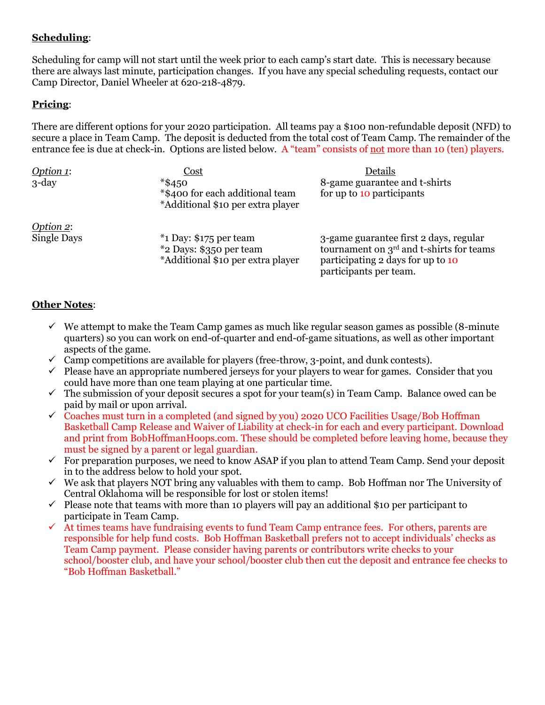#### **Scheduling**:

Scheduling for camp will not start until the week prior to each camp's start date. This is necessary because there are always last minute, participation changes. If you have any special scheduling requests, contact our Camp Director, Daniel Wheeler at 620-218-4879.

#### **Pricing**:

There are different options for your 2020 participation. All teams pay a \$100 non-refundable deposit (NFD) to secure a place in Team Camp. The deposit is deducted from the total cost of Team Camp. The remainder of the entrance fee is due at check-in. Options are listed below. A "team" consists of not more than 10 (ten) players.

| Option 1:                       | Cost                                                                                      | Details                                                                                                                                                       |
|---------------------------------|-------------------------------------------------------------------------------------------|---------------------------------------------------------------------------------------------------------------------------------------------------------------|
| $3$ -day                        | $*$ \$450<br>*\$400 for each additional team<br>*Additional \$10 per extra player         | 8-game guarantee and t-shirts<br>for up to 10 participants                                                                                                    |
| Option 2:<br><b>Single Days</b> | $*$ 1 Day: \$175 per team<br>*2 Days: \$350 per team<br>*Additional \$10 per extra player | 3-game guarantee first 2 days, regular<br>tournament on 3 <sup>rd</sup> and t-shirts for teams<br>participating 2 days for up to 10<br>participants per team. |

#### **Other Notes**:

- $\checkmark$  We attempt to make the Team Camp games as much like regular season games as possible (8-minute) quarters) so you can work on end-of-quarter and end-of-game situations, as well as other important aspects of the game.
- $\checkmark$  Camp competitions are available for players (free-throw, 3-point, and dunk contests).
- $\checkmark$  Please have an appropriate numbered jerseys for your players to wear for games. Consider that you could have more than one team playing at one particular time.
- $\checkmark$  The submission of your deposit secures a spot for your team(s) in Team Camp. Balance owed can be paid by mail or upon arrival.
- Coaches must turn in a completed (and signed by you) 2020 UCO Facilities Usage/Bob Hoffman Basketball Camp Release and Waiver of Liability at check-in for each and every participant. Download and print from BobHoffmanHoops.com. These should be completed before leaving home, because they must be signed by a parent or legal guardian.
- $\checkmark$  For preparation purposes, we need to know ASAP if you plan to attend Team Camp. Send your deposit in to the address below to hold your spot.
- $\checkmark$  We ask that players NOT bring any valuables with them to camp. Bob Hoffman nor The University of Central Oklahoma will be responsible for lost or stolen items!
- $\checkmark$  Please note that teams with more than 10 players will pay an additional \$10 per participant to participate in Team Camp.
- At times teams have fundraising events to fund Team Camp entrance fees. For others, parents are responsible for help fund costs. Bob Hoffman Basketball prefers not to accept individuals' checks as Team Camp payment. Please consider having parents or contributors write checks to your school/booster club, and have your school/booster club then cut the deposit and entrance fee checks to "Bob Hoffman Basketball."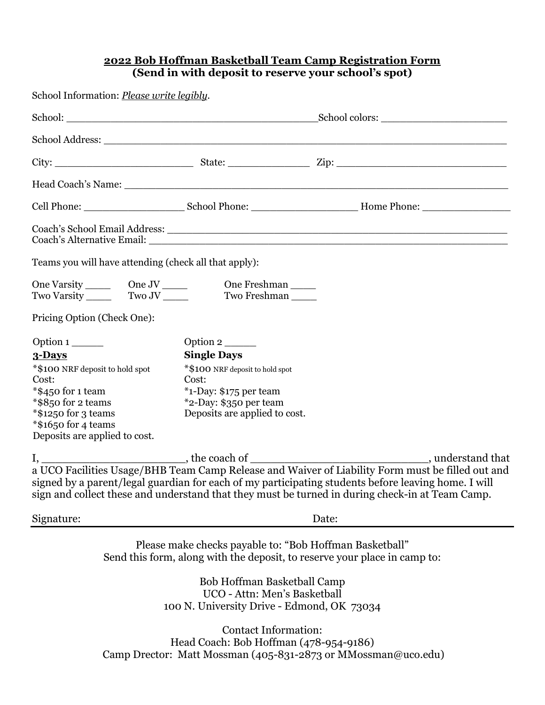#### **2022 Bob Hoffman Basketball Team Camp Registration Form (Send in with deposit to reserve your school's spot)**

School Information: *Please write legibly*.

| School: School: School colors: School colors:                                                                                                                                                                                                                                                              |                                                                                                                                                                       |       |  |  |
|------------------------------------------------------------------------------------------------------------------------------------------------------------------------------------------------------------------------------------------------------------------------------------------------------------|-----------------------------------------------------------------------------------------------------------------------------------------------------------------------|-------|--|--|
|                                                                                                                                                                                                                                                                                                            |                                                                                                                                                                       |       |  |  |
|                                                                                                                                                                                                                                                                                                            |                                                                                                                                                                       |       |  |  |
|                                                                                                                                                                                                                                                                                                            |                                                                                                                                                                       |       |  |  |
|                                                                                                                                                                                                                                                                                                            |                                                                                                                                                                       |       |  |  |
|                                                                                                                                                                                                                                                                                                            |                                                                                                                                                                       |       |  |  |
| Teams you will have attending (check all that apply):                                                                                                                                                                                                                                                      |                                                                                                                                                                       |       |  |  |
| One Varsity __________ One JV _______                                                                                                                                                                                                                                                                      | One Freshman<br>Two Freshman                                                                                                                                          |       |  |  |
| Pricing Option (Check One):                                                                                                                                                                                                                                                                                |                                                                                                                                                                       |       |  |  |
| 3-Days<br>*\$100 NRF deposit to hold spot<br>Cost:<br>$*$ \$450 for 1 team<br>*\$850 for 2 teams<br>$*$ \$1250 for 3 teams<br>$*$ \$1650 for 4 teams<br>Deposits are applied to cost.                                                                                                                      | Option $2 \_$<br><b>Single Days</b><br>*\$100 NRF deposit to hold spot<br>Cost:<br>*1-Day: $$175$ per team<br>*2-Day: \$350 per team<br>Deposits are applied to cost. |       |  |  |
| a UCO Facilities Usage/BHB Team Camp Release and Waiver of Liability Form must be filled out and<br>signed by a parent/legal guardian for each of my participating students before leaving home. I will<br>sign and collect these and understand that they must be turned in during check-in at Team Camp. |                                                                                                                                                                       |       |  |  |
| Signature:                                                                                                                                                                                                                                                                                                 |                                                                                                                                                                       | Date: |  |  |
|                                                                                                                                                                                                                                                                                                            | Please make checks payable to: "Bob Hoffman Basketball"<br>Send this form, along with the deposit, to reserve your place in camp to:                                  |       |  |  |
| Bob Hoffman Basketball Camp<br>UCO - Attn: Men's Basketball<br>100 N. University Drive - Edmond, OK 73034                                                                                                                                                                                                  |                                                                                                                                                                       |       |  |  |

Contact Information: Head Coach: Bob Hoffman (478-954-9186) Camp Drector: Matt Mossman (405-831-2873 or MMossman@uco.edu)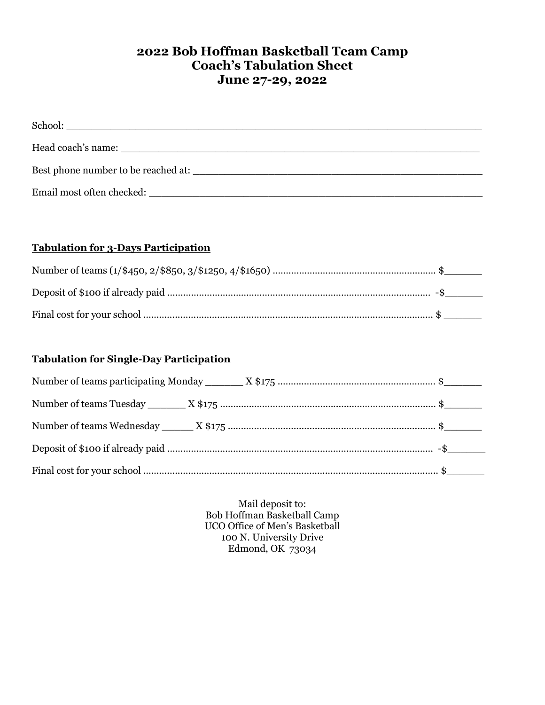### **2022 Bob Hoffman Basketball Team Camp Coach's Tabulation Sheet June 27-29, 2022**

| Head coach's name: New York Contract the Contract of the Contract of the Contract of the Contract of the Contract of the Contract of the Contract of the Contract of the Contract of the Contract of the Contract of the Contr |  |
|--------------------------------------------------------------------------------------------------------------------------------------------------------------------------------------------------------------------------------|--|
| Best phone number to be reached at:                                                                                                                                                                                            |  |
| Email most often checked:                                                                                                                                                                                                      |  |

#### **Tabulation for 3-Days Participation**

#### **Tabulation for Single-Day Participation**

Mail deposit to: Bob Hoffman Basketball Camp UCO Office of Men's Basketball 100 N. University Drive Edmond, OK 73034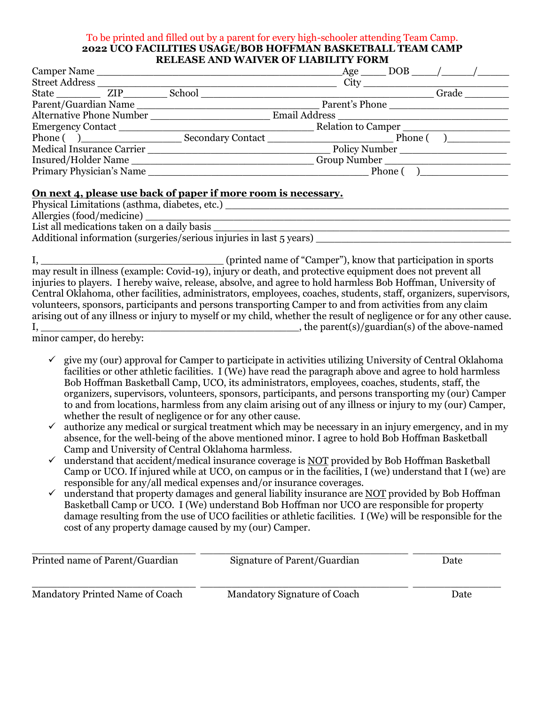#### To be printed and filled out by a parent for every high-schooler attending Team Camp. **2022 UCO FACILITIES USAGE/BOB HOFFMAN BASKETBALL TEAM CAMP RELEASE AND WAIVER OF LIABILITY FORM**

| Camper Name               |                    | $\_\text{Age}\_\$ |         | $\sqrt{DOB}$ $\sqrt{$ |
|---------------------------|--------------------|-------------------|---------|-----------------------|
| Street Address            |                    |                   | City    |                       |
| State <u>ZIP School</u>   |                    |                   |         | Grade                 |
| Parent/Guardian Name      |                    | Parent's Phone    |         |                       |
| Alternative Phone Number  | Email Address      |                   |         |                       |
| Emergency Contact         | Relation to Camper |                   |         |                       |
|                           |                    |                   | Phone ( |                       |
| Medical Insurance Carrier | Policy Number      |                   |         |                       |
| Insured/Holder Name       | Group Number       |                   |         |                       |
| Primary Physician's Name  |                    | <b>Phone</b> (    |         |                       |
|                           |                    |                   |         |                       |

#### **On next 4, please use back of paper if more room is necessary.**

| Physical Limitations (asthma, diabetes, etc.)                       |
|---------------------------------------------------------------------|
| Allergies (food/medicine)                                           |
| List all medications taken on a daily basis                         |
| Additional information (surgeries/serious injuries in last 5 years) |
|                                                                     |

I, \_\_\_\_\_\_\_\_\_\_\_\_\_\_\_\_\_\_\_\_\_\_\_\_\_\_\_\_\_ (printed name of "Camper"), know that participation in sports n, the covid-19), injury or death, and protective equipment does not prevent all may result in illness (example: Covid-19), injury or death, and protective equipment does not prevent all injuries to players. I hereby waive, release, absolve, and agree to hold harmless Bob Hoffman, University of Central Oklahoma, other facilities, administrators, employees, coaches, students, staff, organizers, supervisors, volunteers, sponsors, participants and persons transporting Camper to and from activities from any claim arising out of any illness or injury to myself or my child, whether the result of negligence or for any other cause. I, \_\_\_\_\_\_\_\_\_\_\_\_\_\_\_\_\_\_\_\_\_\_\_\_\_\_\_\_\_\_\_\_\_\_\_\_\_\_\_\_\_, the parent(s)/guardian(s) of the above-named

minor camper, do hereby:

- $\checkmark$  give my (our) approval for Camper to participate in activities utilizing University of Central Oklahoma facilities or other athletic facilities. I (We) have read the paragraph above and agree to hold harmless Bob Hoffman Basketball Camp, UCO, its administrators, employees, coaches, students, staff, the organizers, supervisors, volunteers, sponsors, participants, and persons transporting my (our) Camper to and from locations, harmless from any claim arising out of any illness or injury to my (our) Camper, whether the result of negligence or for any other cause.
- $\checkmark$  authorize any medical or surgical treatment which may be necessary in an injury emergency, and in my absence, for the well-being of the above mentioned minor. I agree to hold Bob Hoffman Basketball Camp and University of Central Oklahoma harmless.
- $\checkmark$  understand that accident/medical insurance coverage is NOT provided by Bob Hoffman Basketball Camp or UCO. If injured while at UCO, on campus or in the facilities, I (we) understand that I (we) are responsible for any/all medical expenses and/or insurance coverages.
- understand that property damages and general liability insurance are NOT provided by Bob Hoffman Basketball Camp or UCO. I (We) understand Bob Hoffman nor UCO are responsible for property damage resulting from the use of UCO facilities or athletic facilities. I (We) will be responsible for the cost of any property damage caused by my (our) Camper.

| Printed name of Parent/Guardian | Signature of Parent/Guardian | Date |
|---------------------------------|------------------------------|------|
| Mandatory Printed Name of Coach | Mandatory Signature of Coach | Date |